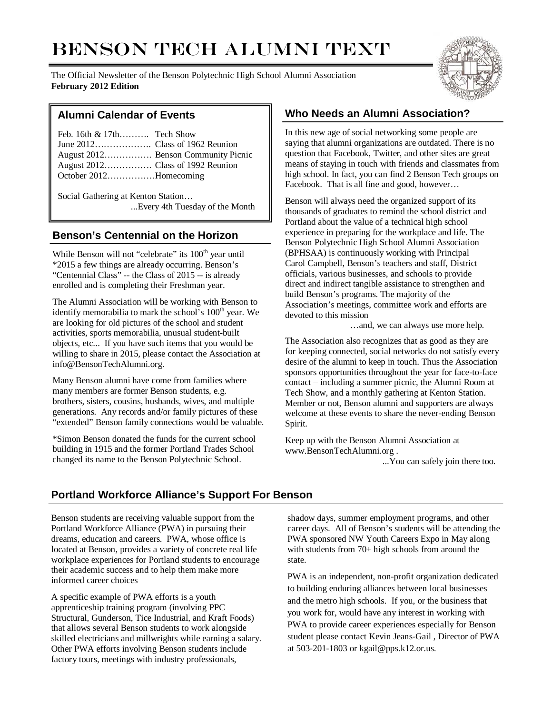# BENSON TECH ALUMNI TEXT

The Official Newsletter of the Benson Polytechnic High School Alumni Association **February 2012 Edition**



#### **Alumni Calendar of Events**

| Feb. 16th $\&$ 17th Tech Show |                                     |
|-------------------------------|-------------------------------------|
|                               |                                     |
|                               | August 2012 Benson Community Picnic |
|                               |                                     |
| October 2012Homecoming        |                                     |

Social Gathering at Kenton Station… ...Every 4th Tuesday of the Month

#### **Benson's Centennial on the Horizon**

While Benson will not "celebrate" its 100<sup>th</sup> year until \*2015 a few things are already occurring. Benson's "Centennial Class" -- the Class of 2015 -- is already enrolled and is completing their Freshman year.

The Alumni Association will be working with Benson to identify memorabilia to mark the school's 100<sup>th</sup> year. We are looking for old pictures of the school and student activities, sports memorabilia, unusual student-built objects, etc... If you have such items that you would be willing to share in 2015, please contact the Association at info@BensonTechAlumni.org.

Many Benson alumni have come from families where many members are former Benson students, e.g. brothers, sisters, cousins, husbands, wives, and multiple generations. Any records and/or family pictures of these "extended" Benson family connections would be valuable.

\*Simon Benson donated the funds for the current school building in 1915 and the former Portland Trades School changed its name to the Benson Polytechnic School.

## **Who Needs an Alumni Association?**

In this new age of social networking some people are saying that alumni organizations are outdated. There is no question that Facebook, Twitter, and other sites are great means of staying in touch with friends and classmates from high school. In fact, you can find 2 Benson Tech groups on Facebook. That is all fine and good, however…

Benson will always need the organized support of its thousands of graduates to remind the school district and Portland about the value of a technical high school experience in preparing for the workplace and life. The Benson Polytechnic High School Alumni Association (BPHSAA) is continuously working with Principal Carol Campbell, Benson's teachers and staff, District officials, various businesses, and schools to provide direct and indirect tangible assistance to strengthen and build Benson's programs. The majority of the Association's meetings, committee work and efforts are devoted to this mission

…and, we can always use more help.

The Association also recognizes that as good as they are for keeping connected, social networks do not satisfy every desire of the alumni to keep in touch. Thus the Association sponsors opportunities throughout the year for face-to-face contact – including a summer picnic, the Alumni Room at Tech Show, and a monthly gathering at Kenton Station. Member or not, Benson alumni and supporters are always welcome at these events to share the never-ending Benson Spirit.

Keep up with the Benson Alumni Association at www.BensonTechAlumni.org .

...You can safely join there too.

# **Portland Workforce Alliance's Support For Benson**

Benson students are receiving valuable support from the Portland Workforce Alliance (PWA) in pursuing their dreams, education and careers. PWA, whose office is located at Benson, provides a variety of concrete real life workplace experiences for Portland students to encourage their academic success and to help them make more informed career choices

A specific example of PWA efforts is a youth apprenticeship training program (involving PPC Structural, Gunderson, Tice Industrial, and Kraft Foods) that allows several Benson students to work alongside skilled electricians and millwrights while earning a salary. Other PWA efforts involving Benson students include factory tours, meetings with industry professionals,

shadow days, summer employment programs, and other career days. All of Benson's students will be attending the PWA sponsored NW Youth Careers Expo in May along with students from 70+ high schools from around the state.

PWA is an independent, non-profit organization dedicated to building enduring alliances between local businesses and the metro high schools. If you, or the business that you work for, would have any interest in working with PWA to provide career experiences especially for Benson student please contact Kevin Jeans-Gail , Director of PWA at 503-201-1803 or kgail@pps.k12.or.us.